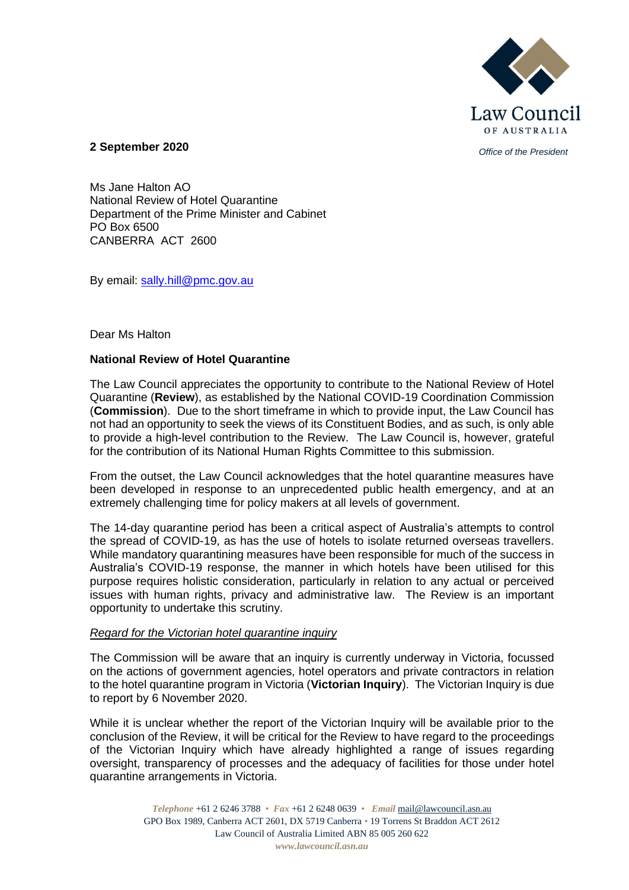

*Office of the President* **2 September 2020**

Ms Jane Halton AO National Review of Hotel Quarantine Department of the Prime Minister and Cabinet PO Box 6500 CANBERRA ACT 2600

By email: [sally.hill@pmc.gov.au](mailto:sally.hill@pmc.gov.au)

#### Dear Ms Halton

## **National Review of Hotel Quarantine**

The Law Council appreciates the opportunity to contribute to the National Review of Hotel Quarantine (**Review**), as established by the National COVID-19 Coordination Commission (**Commission**). Due to the short timeframe in which to provide input, the Law Council has not had an opportunity to seek the views of its Constituent Bodies, and as such, is only able to provide a high-level contribution to the Review. The Law Council is, however, grateful for the contribution of its National Human Rights Committee to this submission.

From the outset, the Law Council acknowledges that the hotel quarantine measures have been developed in response to an unprecedented public health emergency, and at an extremely challenging time for policy makers at all levels of government.

The 14-day quarantine period has been a critical aspect of Australia's attempts to control the spread of COVID-19, as has the use of hotels to isolate returned overseas travellers. While mandatory quarantining measures have been responsible for much of the success in Australia's COVID-19 response, the manner in which hotels have been utilised for this purpose requires holistic consideration, particularly in relation to any actual or perceived issues with human rights, privacy and administrative law. The Review is an important opportunity to undertake this scrutiny.

#### *Regard for the Victorian hotel quarantine inquiry*

The Commission will be aware that an inquiry is currently underway in Victoria, focussed on the actions of government agencies, hotel operators and private contractors in relation to the hotel quarantine program in Victoria (**Victorian Inquiry**). The Victorian Inquiry is due to report by 6 November 2020.

While it is unclear whether the report of the Victorian Inquiry will be available prior to the conclusion of the Review, it will be critical for the Review to have regard to the proceedings of the Victorian Inquiry which have already highlighted a range of issues regarding oversight, transparency of processes and the adequacy of facilities for those under hotel quarantine arrangements in Victoria.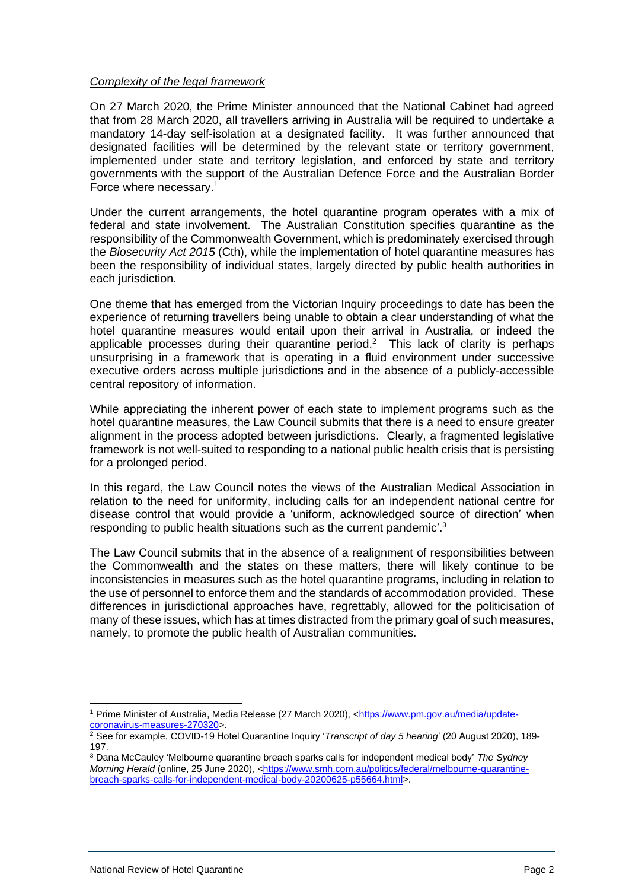# *Complexity of the legal framework*

On 27 March 2020, the Prime Minister announced that the National Cabinet had agreed that from 28 March 2020, all travellers arriving in Australia will be required to undertake a mandatory 14-day self-isolation at a designated facility. It was further announced that designated facilities will be determined by the relevant state or territory government, implemented under state and territory legislation, and enforced by state and territory governments with the support of the Australian Defence Force and the Australian Border Force where necessary.<sup>1</sup>

Under the current arrangements, the hotel quarantine program operates with a mix of federal and state involvement. The Australian Constitution specifies quarantine as the responsibility of the Commonwealth Government, which is predominately exercised through the *Biosecurity Act 2015* (Cth), while the implementation of hotel quarantine measures has been the responsibility of individual states, largely directed by public health authorities in each jurisdiction.

One theme that has emerged from the Victorian Inquiry proceedings to date has been the experience of returning travellers being unable to obtain a clear understanding of what the hotel quarantine measures would entail upon their arrival in Australia, or indeed the applicable processes during their quarantine period.<sup>2</sup> This lack of clarity is perhaps unsurprising in a framework that is operating in a fluid environment under successive executive orders across multiple jurisdictions and in the absence of a publicly-accessible central repository of information.

While appreciating the inherent power of each state to implement programs such as the hotel quarantine measures, the Law Council submits that there is a need to ensure greater alignment in the process adopted between jurisdictions. Clearly, a fragmented legislative framework is not well-suited to responding to a national public health crisis that is persisting for a prolonged period.

In this regard, the Law Council notes the views of the Australian Medical Association in relation to the need for uniformity, including calls for an independent national centre for disease control that would provide a 'uniform, acknowledged source of direction' when responding to public health situations such as the current pandemic'.<sup>3</sup>

The Law Council submits that in the absence of a realignment of responsibilities between the Commonwealth and the states on these matters, there will likely continue to be inconsistencies in measures such as the hotel quarantine programs, including in relation to the use of personnel to enforce them and the standards of accommodation provided. These differences in jurisdictional approaches have, regrettably, allowed for the politicisation of many of these issues, which has at times distracted from the primary goal of such measures, namely, to promote the public health of Australian communities.

<sup>1</sup> Prime Minister of Australia, Media Release (27 March 2020), [<https://www.pm.gov.au/media/update](https://www.pm.gov.au/media/update-coronavirus-measures-270320)[coronavirus-measures-270320>](https://www.pm.gov.au/media/update-coronavirus-measures-270320).

<sup>2</sup> See for example, COVID-19 Hotel Quarantine Inquiry '*Transcript of day 5 hearing*' (20 August 2020), 189- 197.

<sup>3</sup> Dana McCauley 'Melbourne quarantine breach sparks calls for independent medical body' *The Sydney Morning Herald* (online, 25 June 2020)*, <*[https://www.smh.com.au/politics/federal/melbourne-quarantine](https://www.smh.com.au/politics/federal/melbourne-quarantine-breach-sparks-calls-for-independent-medical-body-20200625-p55664.html)[breach-sparks-calls-for-independent-medical-body-20200625-p55664.html>](https://www.smh.com.au/politics/federal/melbourne-quarantine-breach-sparks-calls-for-independent-medical-body-20200625-p55664.html).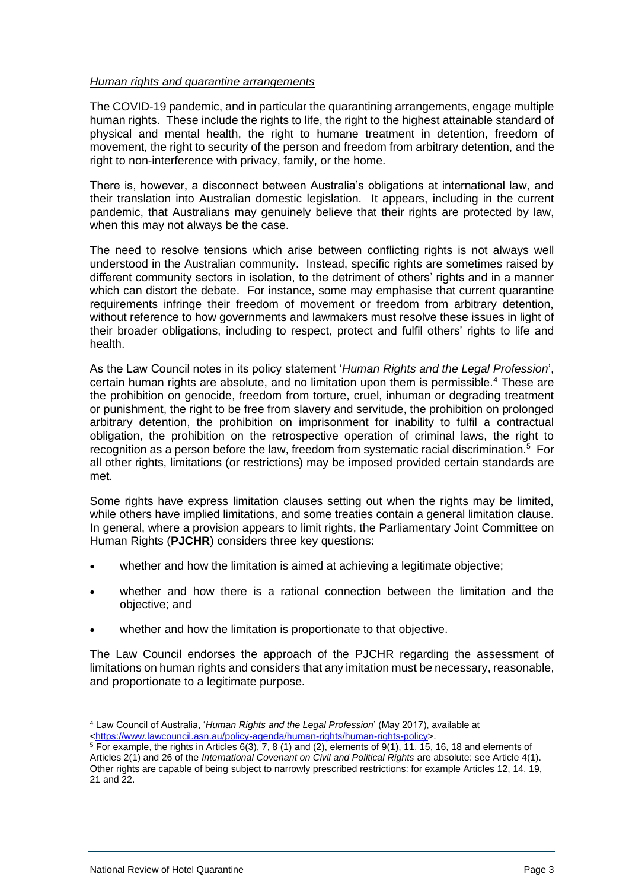## *Human rights and quarantine arrangements*

The COVID-19 pandemic, and in particular the quarantining arrangements, engage multiple human rights. These include the rights to life, the right to the highest attainable standard of physical and mental health, the right to humane treatment in detention, freedom of movement, the right to security of the person and freedom from arbitrary detention, and the right to non-interference with privacy, family, or the home.

There is, however, a disconnect between Australia's obligations at international law, and their translation into Australian domestic legislation. It appears, including in the current pandemic, that Australians may genuinely believe that their rights are protected by law, when this may not always be the case.

The need to resolve tensions which arise between conflicting rights is not always well understood in the Australian community. Instead, specific rights are sometimes raised by different community sectors in isolation, to the detriment of others' rights and in a manner which can distort the debate. For instance, some may emphasise that current quarantine requirements infringe their freedom of movement or freedom from arbitrary detention, without reference to how governments and lawmakers must resolve these issues in light of their broader obligations, including to respect, protect and fulfil others' rights to life and health.

As the Law Council notes in its policy statement '*Human Rights and the Legal Profession*', certain human rights are absolute, and no limitation upon them is permissible.<sup>4</sup> These are the prohibition on genocide, freedom from torture, cruel, inhuman or degrading treatment or punishment, the right to be free from slavery and servitude, the prohibition on prolonged arbitrary detention, the prohibition on imprisonment for inability to fulfil a contractual obligation, the prohibition on the retrospective operation of criminal laws, the right to recognition as a person before the law, freedom from systematic racial discrimination.<sup>5</sup> For all other rights, limitations (or restrictions) may be imposed provided certain standards are met.

Some rights have express limitation clauses setting out when the rights may be limited, while others have implied limitations, and some treaties contain a general limitation clause. In general, where a provision appears to limit rights, the Parliamentary Joint Committee on Human Rights (**PJCHR**) considers three key questions:

- whether and how the limitation is aimed at achieving a legitimate objective;
- whether and how there is a rational connection between the limitation and the objective; and
- whether and how the limitation is proportionate to that objective.

The Law Council endorses the approach of the PJCHR regarding the assessment of limitations on human rights and considers that any imitation must be necessary, reasonable, and proportionate to a legitimate purpose.

<sup>4</sup> Law Council of Australia, '*Human Rights and the Legal Profession*' (May 2017), available at [<https://www.lawcouncil.asn.au/policy-agenda/human-rights/human-rights-policy>](https://www.lawcouncil.asn.au/policy-agenda/human-rights/human-rights-policy).

 $\frac{5}{5}$  For example, the rights in Articles 6(3), 7, 8 (1) and (2), elements of 9(1), 11, 15, 16, 18 and elements of Articles 2(1) and 26 of the *International Covenant on Civil and Political Rights* are absolute: see Article 4(1). Other rights are capable of being subject to narrowly prescribed restrictions: for example Articles 12, 14, 19, 21 and 22.